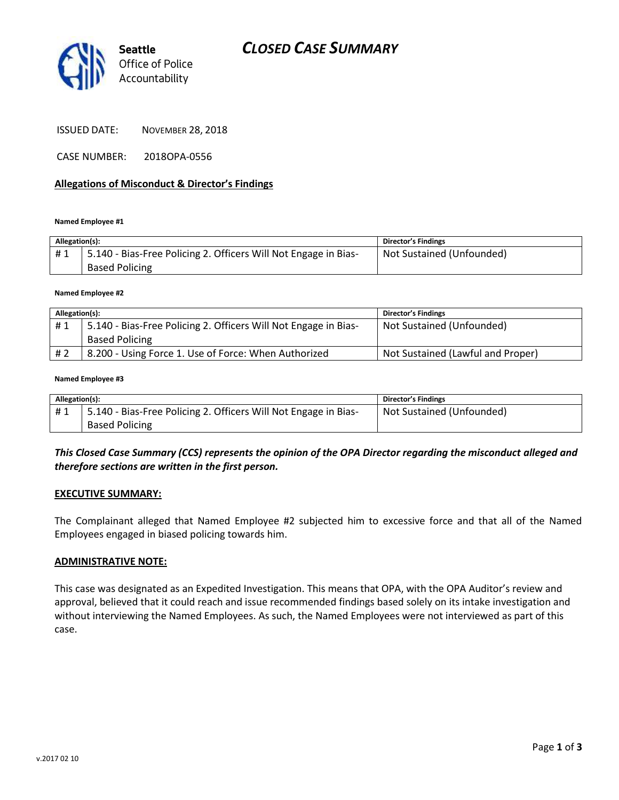

ISSUED DATE: NOVEMBER 28, 2018

CASE NUMBER: 2018OPA-0556

## **Allegations of Misconduct & Director's Findings**

#### **Named Employee #1**

| Allegation(s): |                                                                 | <b>Director's Findings</b> |
|----------------|-----------------------------------------------------------------|----------------------------|
| #1             | 5.140 - Bias-Free Policing 2. Officers Will Not Engage in Bias- | Not Sustained (Unfounded)  |
|                | <b>Based Policing</b>                                           |                            |

#### **Named Employee #2**

| Allegation(s): |                                                                 | <b>Director's Findings</b>        |
|----------------|-----------------------------------------------------------------|-----------------------------------|
| #1             | 5.140 - Bias-Free Policing 2. Officers Will Not Engage in Bias- | Not Sustained (Unfounded)         |
|                | <b>Based Policing</b>                                           |                                   |
| # 2            | 8.200 - Using Force 1. Use of Force: When Authorized            | Not Sustained (Lawful and Proper) |

#### **Named Employee #3**

| Allegation(s): |                                                                 | Director's Findings       |
|----------------|-----------------------------------------------------------------|---------------------------|
| #1             | 5.140 - Bias-Free Policing 2. Officers Will Not Engage in Bias- | Not Sustained (Unfounded) |
|                | <b>Based Policing</b>                                           |                           |

## *This Closed Case Summary (CCS) represents the opinion of the OPA Director regarding the misconduct alleged and therefore sections are written in the first person.*

### **EXECUTIVE SUMMARY:**

The Complainant alleged that Named Employee #2 subjected him to excessive force and that all of the Named Employees engaged in biased policing towards him.

### **ADMINISTRATIVE NOTE:**

This case was designated as an Expedited Investigation. This means that OPA, with the OPA Auditor's review and approval, believed that it could reach and issue recommended findings based solely on its intake investigation and without interviewing the Named Employees. As such, the Named Employees were not interviewed as part of this case.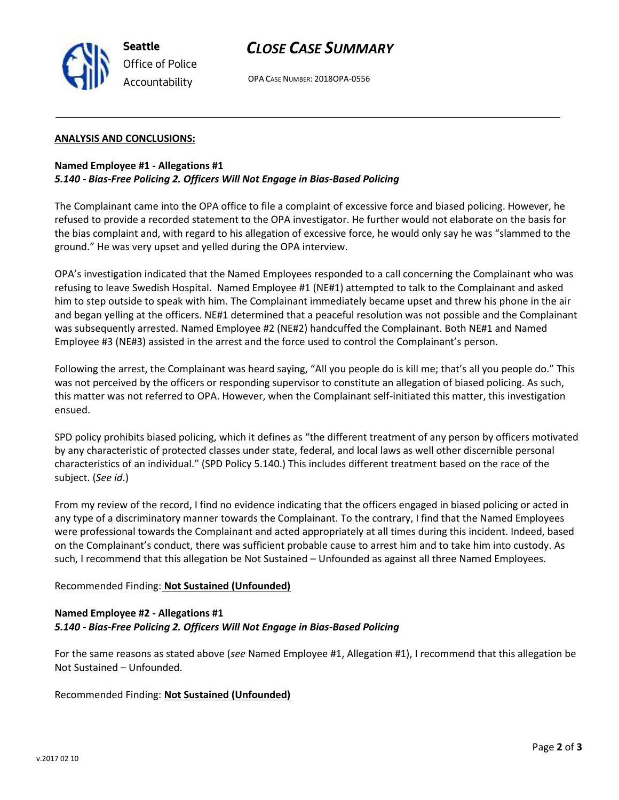

# *CLOSE CASE SUMMARY*

OPA CASE NUMBER: 2018OPA-0556

## **ANALYSIS AND CONCLUSIONS:**

## **Named Employee #1 - Allegations #1** *5.140 - Bias-Free Policing 2. Officers Will Not Engage in Bias-Based Policing*

The Complainant came into the OPA office to file a complaint of excessive force and biased policing. However, he refused to provide a recorded statement to the OPA investigator. He further would not elaborate on the basis for the bias complaint and, with regard to his allegation of excessive force, he would only say he was "slammed to the ground." He was very upset and yelled during the OPA interview.

OPA's investigation indicated that the Named Employees responded to a call concerning the Complainant who was refusing to leave Swedish Hospital. Named Employee #1 (NE#1) attempted to talk to the Complainant and asked him to step outside to speak with him. The Complainant immediately became upset and threw his phone in the air and began yelling at the officers. NE#1 determined that a peaceful resolution was not possible and the Complainant was subsequently arrested. Named Employee #2 (NE#2) handcuffed the Complainant. Both NE#1 and Named Employee #3 (NE#3) assisted in the arrest and the force used to control the Complainant's person.

Following the arrest, the Complainant was heard saying, "All you people do is kill me; that's all you people do." This was not perceived by the officers or responding supervisor to constitute an allegation of biased policing. As such, this matter was not referred to OPA. However, when the Complainant self-initiated this matter, this investigation ensued.

SPD policy prohibits biased policing, which it defines as "the different treatment of any person by officers motivated by any characteristic of protected classes under state, federal, and local laws as well other discernible personal characteristics of an individual." (SPD Policy 5.140.) This includes different treatment based on the race of the subject. (*See id*.)

From my review of the record, I find no evidence indicating that the officers engaged in biased policing or acted in any type of a discriminatory manner towards the Complainant. To the contrary, I find that the Named Employees were professional towards the Complainant and acted appropriately at all times during this incident. Indeed, based on the Complainant's conduct, there was sufficient probable cause to arrest him and to take him into custody. As such, I recommend that this allegation be Not Sustained – Unfounded as against all three Named Employees.

## Recommended Finding: **Not Sustained (Unfounded)**

## **Named Employee #2 - Allegations #1** *5.140 - Bias-Free Policing 2. Officers Will Not Engage in Bias-Based Policing*

For the same reasons as stated above (*see* Named Employee #1, Allegation #1), I recommend that this allegation be Not Sustained – Unfounded.

Recommended Finding: **Not Sustained (Unfounded)**